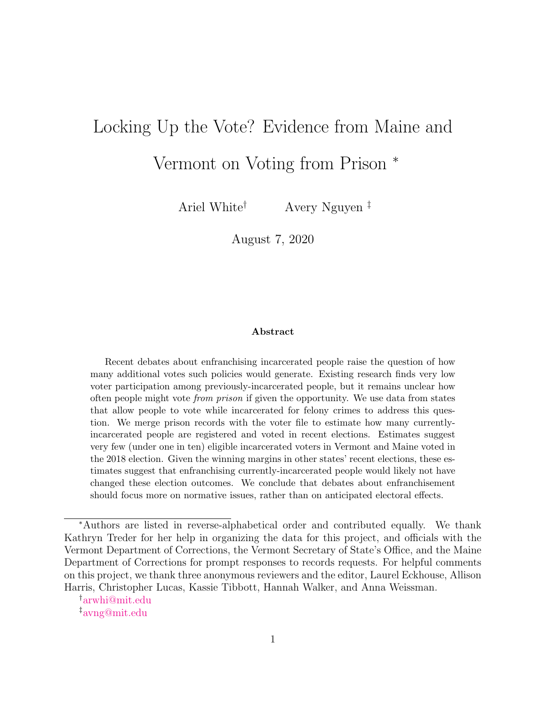# Locking Up the Vote? Evidence from Maine and

## Vermont on Voting from Prison <sup>∗</sup>

Ariel White† Avery Nguyen ‡

August 7, 2020

#### Abstract

Recent debates about enfranchising incarcerated people raise the question of how many additional votes such policies would generate. Existing research finds very low voter participation among previously-incarcerated people, but it remains unclear how often people might vote from prison if given the opportunity. We use data from states that allow people to vote while incarcerated for felony crimes to address this question. We merge prison records with the voter file to estimate how many currentlyincarcerated people are registered and voted in recent elections. Estimates suggest very few (under one in ten) eligible incarcerated voters in Vermont and Maine voted in the 2018 election. Given the winning margins in other states' recent elections, these estimates suggest that enfranchising currently-incarcerated people would likely not have changed these election outcomes. We conclude that debates about enfranchisement should focus more on normative issues, rather than on anticipated electoral effects.

†[arwhi@mit.edu](mailto:arwhi@mit.edu) ‡[avng@mit.edu](mailto:avng@mit.edu)

<sup>∗</sup>Authors are listed in reverse-alphabetical order and contributed equally. We thank Kathryn Treder for her help in organizing the data for this project, and officials with the Vermont Department of Corrections, the Vermont Secretary of State's Office, and the Maine Department of Corrections for prompt responses to records requests. For helpful comments on this project, we thank three anonymous reviewers and the editor, Laurel Eckhouse, Allison Harris, Christopher Lucas, Kassie Tibbott, Hannah Walker, and Anna Weissman.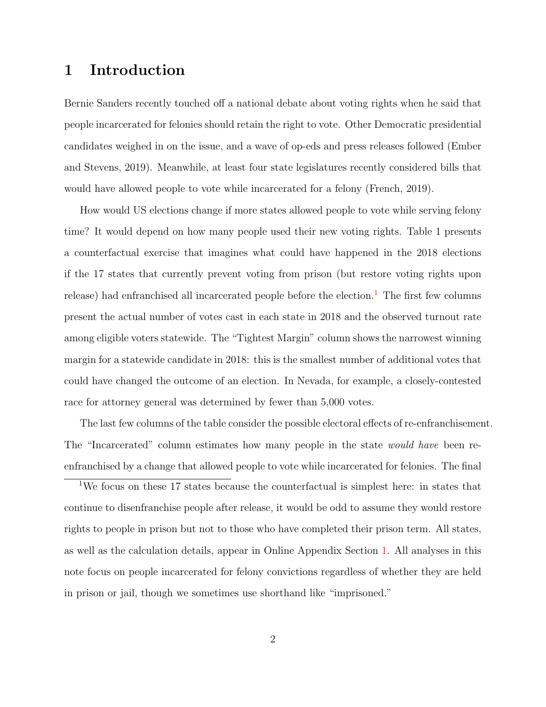## <span id="page-1-1"></span>1 Introduction

Bernie Sanders recently touched off a national debate about voting rights when he said that people incarcerated for felonies should retain the right to vote. Other Democratic presidential candidates weighed in on the issue, and a wave of op-eds and press releases followed [\(Ember](#page-9-0) [and Stevens,](#page-9-0) [2019\)](#page-9-0). Meanwhile, at least four state legislatures recently considered bills that would have allowed people to vote while incarcerated for a felony [\(French,](#page-9-1) [2019\)](#page-9-1).

How would US elections change if more states allowed people to vote while serving felony time? It would depend on how many people used their new voting rights. Table 1 presents a counterfactual exercise that imagines what could have happened in the 2018 elections if the 17 states that currently prevent voting from prison (but restore voting rights upon release) had enfranchised all incarcerated people before the election.<sup>[1](#page-1-0)</sup> The first few columns present the actual number of votes cast in each state in 2018 and the observed turnout rate among eligible voters statewide. The "Tightest Margin" column shows the narrowest winning margin for a statewide candidate in 2018: this is the smallest number of additional votes that could have changed the outcome of an election. In Nevada, for example, a closely-contested race for attorney general was determined by fewer than 5,000 votes.

The last few columns of the table consider the possible electoral effects of re-enfranchisement. The "Incarcerated" column estimates how many people in the state *would have* been reenfranchised by a change that allowed people to vote while incarcerated for felonies. The final

<span id="page-1-0"></span><sup>1</sup>We focus on these 17 states because the counterfactual is simplest here: in states that continue to disenfranchise people after release, it would be odd to assume they would restore rights to people in prison but not to those who have completed their prison term. All states, as well as the calculation details, appear in Online Appendix Section [1.](#page-1-1) All analyses in this note focus on people incarcerated for felony convictions regardless of whether they are held in prison or jail, though we sometimes use shorthand like "imprisoned."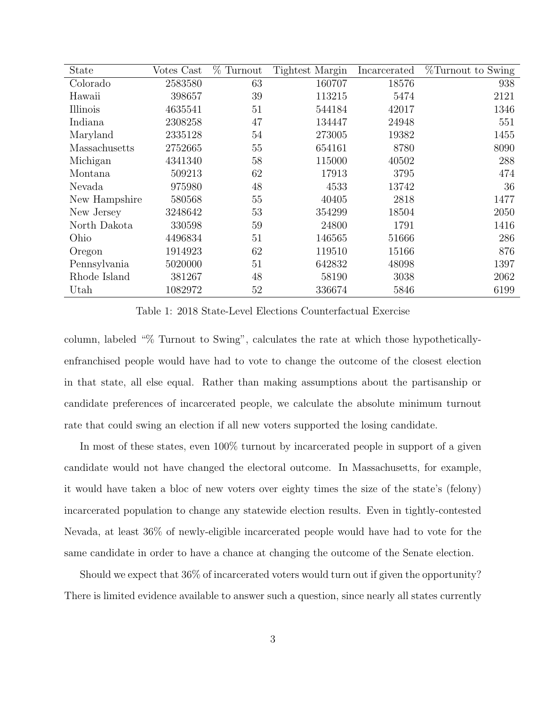| State         | Votes Cast | $\%$<br>Turnout | <b>Tightest Margin</b> | Incarcerated | %Turnout to Swing |
|---------------|------------|-----------------|------------------------|--------------|-------------------|
| Colorado      | 2583580    | 63              | 160707                 | 18576        | 938               |
| Hawaii        | 398657     | 39              | 113215                 | 5474         | 2121              |
| Illinois      | 4635541    | 51              | 544184                 | 42017        | 1346              |
| Indiana       | 2308258    | 47              | 134447                 | 24948        | 551               |
| Maryland      | 2335128    | 54              | 273005                 | 19382        | 1455              |
| Massachusetts | 2752665    | 55              | 654161                 | 8780         | 8090              |
| Michigan      | 4341340    | 58              | 115000                 | 40502        | 288               |
| Montana       | 509213     | 62              | 17913                  | 3795         | 474               |
| Nevada        | 975980     | 48              | 4533                   | 13742        | 36                |
| New Hampshire | 580568     | 55              | 40405                  | 2818         | 1477              |
| New Jersey    | 3248642    | 53              | 354299                 | 18504        | 2050              |
| North Dakota  | 330598     | 59              | 24800                  | 1791         | 1416              |
| Ohio          | 4496834    | 51              | 146565                 | 51666        | 286               |
| Oregon        | 1914923    | 62              | 119510                 | 15166        | 876               |
| Pennsylvania  | 5020000    | 51              | 642832                 | 48098        | 1397              |
| Rhode Island  | 381267     | 48              | 58190                  | 3038         | 2062              |
| Utah          | 1082972    | 52              | 336674                 | 5846         | 6199              |

Table 1: 2018 State-Level Elections Counterfactual Exercise

column, labeled "% Turnout to Swing", calculates the rate at which those hypotheticallyenfranchised people would have had to vote to change the outcome of the closest election in that state, all else equal. Rather than making assumptions about the partisanship or candidate preferences of incarcerated people, we calculate the absolute minimum turnout rate that could swing an election if all new voters supported the losing candidate.

In most of these states, even 100% turnout by incarcerated people in support of a given candidate would not have changed the electoral outcome. In Massachusetts, for example, it would have taken a bloc of new voters over eighty times the size of the state's (felony) incarcerated population to change any statewide election results. Even in tightly-contested Nevada, at least 36% of newly-eligible incarcerated people would have had to vote for the same candidate in order to have a chance at changing the outcome of the Senate election.

Should we expect that 36% of incarcerated voters would turn out if given the opportunity? There is limited evidence available to answer such a question, since nearly all states currently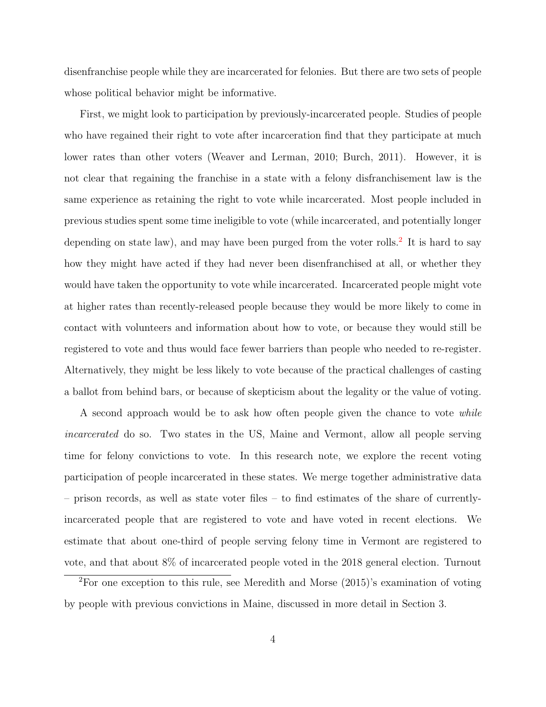disenfranchise people while they are incarcerated for felonies. But there are two sets of people whose political behavior might be informative.

First, we might look to participation by previously-incarcerated people. Studies of people who have regained their right to vote after incarceration find that they participate at much lower rates than other voters [\(Weaver and Lerman,](#page-10-0) [2010;](#page-10-0) [Burch,](#page-9-2) [2011\)](#page-9-2). However, it is not clear that regaining the franchise in a state with a felony disfranchisement law is the same experience as retaining the right to vote while incarcerated. Most people included in previous studies spent some time ineligible to vote (while incarcerated, and potentially longer depending on state law), and may have been purged from the voter rolls.<sup>[2](#page-3-0)</sup> It is hard to say how they might have acted if they had never been disenfranchised at all, or whether they would have taken the opportunity to vote while incarcerated. Incarcerated people might vote at higher rates than recently-released people because they would be more likely to come in contact with volunteers and information about how to vote, or because they would still be registered to vote and thus would face fewer barriers than people who needed to re-register. Alternatively, they might be less likely to vote because of the practical challenges of casting a ballot from behind bars, or because of skepticism about the legality or the value of voting.

A second approach would be to ask how often people given the chance to vote while incarcerated do so. Two states in the US, Maine and Vermont, allow all people serving time for felony convictions to vote. In this research note, we explore the recent voting participation of people incarcerated in these states. We merge together administrative data – prison records, as well as state voter files – to find estimates of the share of currentlyincarcerated people that are registered to vote and have voted in recent elections. We estimate that about one-third of people serving felony time in Vermont are registered to vote, and that about 8% of incarcerated people voted in the 2018 general election. Turnout

<span id="page-3-0"></span><sup>2</sup>For one exception to this rule, see [Meredith and Morse](#page-10-1) [\(2015\)](#page-10-1)'s examination of voting by people with previous convictions in Maine, discussed in more detail in Section 3.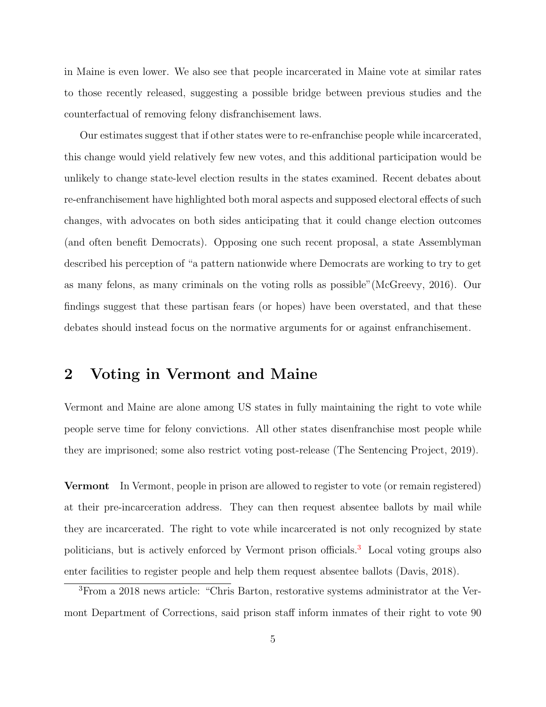in Maine is even lower. We also see that people incarcerated in Maine vote at similar rates to those recently released, suggesting a possible bridge between previous studies and the counterfactual of removing felony disfranchisement laws.

Our estimates suggest that if other states were to re-enfranchise people while incarcerated, this change would yield relatively few new votes, and this additional participation would be unlikely to change state-level election results in the states examined. Recent debates about re-enfranchisement have highlighted both moral aspects and supposed electoral effects of such changes, with advocates on both sides anticipating that it could change election outcomes (and often benefit Democrats). Opposing one such recent proposal, a state Assemblyman described his perception of "a pattern nationwide where Democrats are working to try to get as many felons, as many criminals on the voting rolls as possible"[\(McGreevy,](#page-10-2) [2016\)](#page-10-2). Our findings suggest that these partisan fears (or hopes) have been overstated, and that these debates should instead focus on the normative arguments for or against enfranchisement.

#### 2 Voting in Vermont and Maine

Vermont and Maine are alone among US states in fully maintaining the right to vote while people serve time for felony convictions. All other states disenfranchise most people while they are imprisoned; some also restrict voting post-release [\(The Sentencing Project,](#page-10-3) [2019\)](#page-10-3).

Vermont In Vermont, people in prison are allowed to register to vote (or remain registered) at their pre-incarceration address. They can then request absentee ballots by mail while they are incarcerated. The right to vote while incarcerated is not only recognized by state politicians, but is actively enforced by Vermont prison officials.[3](#page-4-0) Local voting groups also enter facilities to register people and help them request absentee ballots [\(Davis,](#page-9-3) [2018\)](#page-9-3).

<span id="page-4-0"></span><sup>3</sup>From a 2018 news article: "Chris Barton, restorative systems administrator at the Vermont Department of Corrections, said prison staff inform inmates of their right to vote 90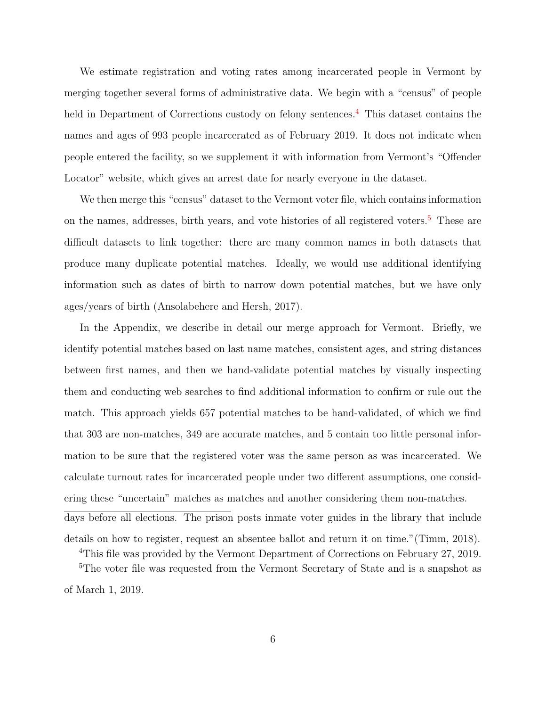We estimate registration and voting rates among incarcerated people in Vermont by merging together several forms of administrative data. We begin with a "census" of people held in Department of Corrections custody on felony sentences.<sup>[4](#page-5-0)</sup> This dataset contains the names and ages of 993 people incarcerated as of February 2019. It does not indicate when people entered the facility, so we supplement it with information from Vermont's "Offender Locator" website, which gives an arrest date for nearly everyone in the dataset.

We then merge this "census" dataset to the Vermont voter file, which contains information on the names, addresses, birth years, and vote histories of all registered voters.<sup>[5](#page-5-1)</sup> These are difficult datasets to link together: there are many common names in both datasets that produce many duplicate potential matches. Ideally, we would use additional identifying information such as dates of birth to narrow down potential matches, but we have only ages/years of birth [\(Ansolabehere and Hersh,](#page-9-4) [2017\)](#page-9-4).

In the Appendix, we describe in detail our merge approach for Vermont. Briefly, we identify potential matches based on last name matches, consistent ages, and string distances between first names, and then we hand-validate potential matches by visually inspecting them and conducting web searches to find additional information to confirm or rule out the match. This approach yields 657 potential matches to be hand-validated, of which we find that 303 are non-matches, 349 are accurate matches, and 5 contain too little personal information to be sure that the registered voter was the same person as was incarcerated. We calculate turnout rates for incarcerated people under two different assumptions, one considering these "uncertain" matches as matches and another considering them non-matches. days before all elections. The prison posts inmate voter guides in the library that include details on how to register, request an absentee ballot and return it on time."[\(Timm,](#page-10-4) [2018\)](#page-10-4).

<span id="page-5-1"></span><span id="page-5-0"></span><sup>4</sup>This file was provided by the Vermont Department of Corrections on February 27, 2019.

<sup>5</sup>The voter file was requested from the Vermont Secretary of State and is a snapshot as of March 1, 2019.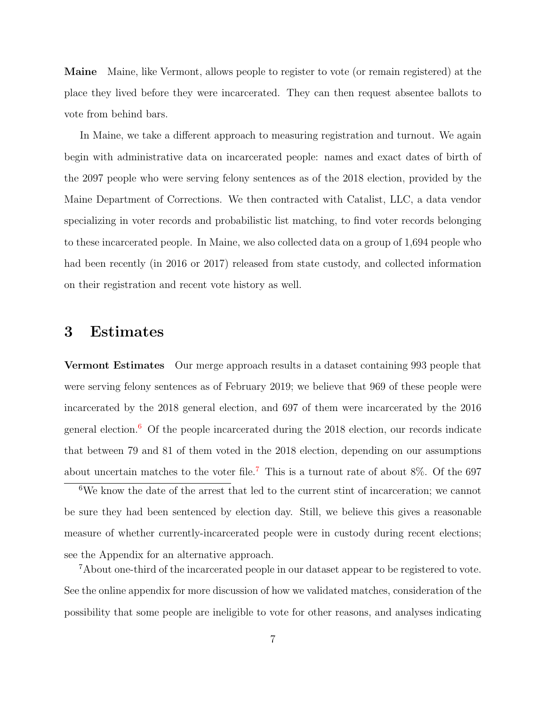Maine Maine, like Vermont, allows people to register to vote (or remain registered) at the place they lived before they were incarcerated. They can then request absentee ballots to vote from behind bars.

In Maine, we take a different approach to measuring registration and turnout. We again begin with administrative data on incarcerated people: names and exact dates of birth of the 2097 people who were serving felony sentences as of the 2018 election, provided by the Maine Department of Corrections. We then contracted with Catalist, LLC, a data vendor specializing in voter records and probabilistic list matching, to find voter records belonging to these incarcerated people. In Maine, we also collected data on a group of 1,694 people who had been recently (in 2016 or 2017) released from state custody, and collected information on their registration and recent vote history as well.

### 3 Estimates

Vermont Estimates Our merge approach results in a dataset containing 993 people that were serving felony sentences as of February 2019; we believe that 969 of these people were incarcerated by the 2018 general election, and 697 of them were incarcerated by the 2016 general election.<sup>[6](#page-6-0)</sup> Of the people incarcerated during the 2018 election, our records indicate that between 79 and 81 of them voted in the 2018 election, depending on our assumptions about uncertain matches to the voter file.<sup>[7](#page-6-1)</sup> This is a turnout rate of about  $8\%$ . Of the 697

<span id="page-6-0"></span> ${}^6\mathrm{We}$  know the date of the arrest that led to the current stint of incarceration; we cannot be sure they had been sentenced by election day. Still, we believe this gives a reasonable measure of whether currently-incarcerated people were in custody during recent elections; see the Appendix for an alternative approach.

<span id="page-6-1"></span><sup>7</sup>About one-third of the incarcerated people in our dataset appear to be registered to vote. See the online appendix for more discussion of how we validated matches, consideration of the possibility that some people are ineligible to vote for other reasons, and analyses indicating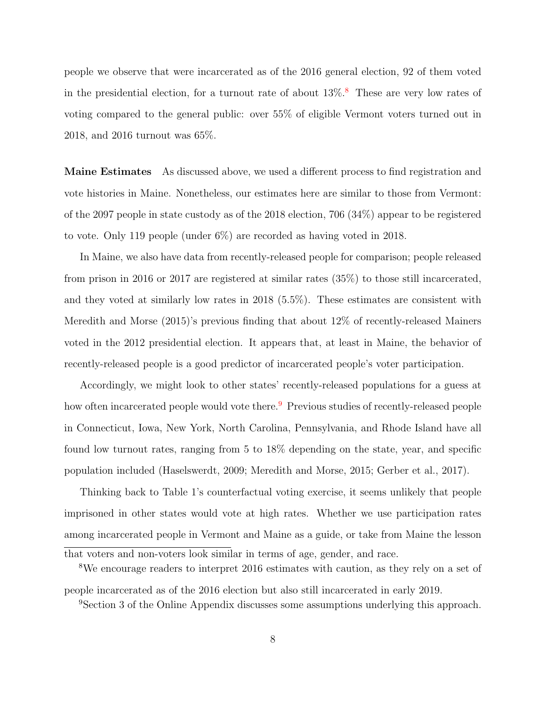people we observe that were incarcerated as of the 2016 general election, 92 of them voted in the presidential election, for a turnout rate of about  $13\%$ .<sup>[8](#page-7-0)</sup> These are very low rates of voting compared to the general public: over 55% of eligible Vermont voters turned out in 2018, and 2016 turnout was 65%.

Maine Estimates As discussed above, we used a different process to find registration and vote histories in Maine. Nonetheless, our estimates here are similar to those from Vermont: of the 2097 people in state custody as of the 2018 election, 706 (34%) appear to be registered to vote. Only 119 people (under 6%) are recorded as having voted in 2018.

In Maine, we also have data from recently-released people for comparison; people released from prison in 2016 or 2017 are registered at similar rates (35%) to those still incarcerated, and they voted at similarly low rates in 2018 (5.5%). These estimates are consistent with [Meredith and Morse](#page-10-1) [\(2015\)](#page-10-1)'s previous finding that about 12% of recently-released Mainers voted in the 2012 presidential election. It appears that, at least in Maine, the behavior of recently-released people is a good predictor of incarcerated people's voter participation.

Accordingly, we might look to other states' recently-released populations for a guess at how often incarcerated people would vote there.<sup>[9](#page-7-1)</sup> Previous studies of recently-released people in Connecticut, Iowa, New York, North Carolina, Pennsylvania, and Rhode Island have all found low turnout rates, ranging from 5 to 18% depending on the state, year, and specific population included [\(Haselswerdt,](#page-10-5) [2009;](#page-10-5) [Meredith and Morse,](#page-10-1) [2015;](#page-10-1) [Gerber et al.,](#page-9-5) [2017\)](#page-9-5).

Thinking back to Table 1's counterfactual voting exercise, it seems unlikely that people imprisoned in other states would vote at high rates. Whether we use participation rates among incarcerated people in Vermont and Maine as a guide, or take from Maine the lesson that voters and non-voters look similar in terms of age, gender, and race.

<span id="page-7-0"></span><sup>8</sup>We encourage readers to interpret 2016 estimates with caution, as they rely on a set of people incarcerated as of the 2016 election but also still incarcerated in early 2019.

<span id="page-7-1"></span><sup>9</sup>Section 3 of the Online Appendix discusses some assumptions underlying this approach.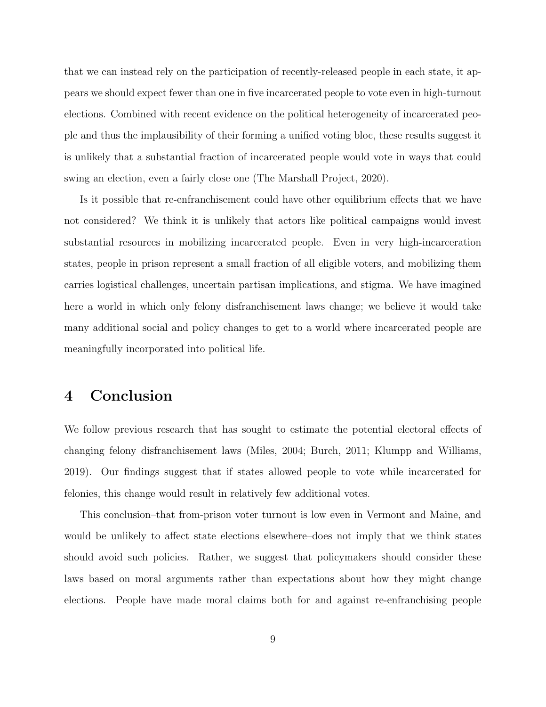that we can instead rely on the participation of recently-released people in each state, it appears we should expect fewer than one in five incarcerated people to vote even in high-turnout elections. Combined with recent evidence on the political heterogeneity of incarcerated people and thus the implausibility of their forming a unified voting bloc, these results suggest it is unlikely that a substantial fraction of incarcerated people would vote in ways that could swing an election, even a fairly close one [\(The Marshall Project,](#page-10-6) [2020\)](#page-10-6).

Is it possible that re-enfranchisement could have other equilibrium effects that we have not considered? We think it is unlikely that actors like political campaigns would invest substantial resources in mobilizing incarcerated people. Even in very high-incarceration states, people in prison represent a small fraction of all eligible voters, and mobilizing them carries logistical challenges, uncertain partisan implications, and stigma. We have imagined here a world in which only felony disfranchisement laws change; we believe it would take many additional social and policy changes to get to a world where incarcerated people are meaningfully incorporated into political life.

## 4 Conclusion

We follow previous research that has sought to estimate the potential electoral effects of changing felony disfranchisement laws [\(Miles,](#page-10-7) [2004;](#page-10-7) [Burch,](#page-9-2) [2011;](#page-9-2) [Klumpp and Williams,](#page-10-8) [2019\)](#page-10-8). Our findings suggest that if states allowed people to vote while incarcerated for felonies, this change would result in relatively few additional votes.

This conclusion–that from-prison voter turnout is low even in Vermont and Maine, and would be unlikely to affect state elections elsewhere–does not imply that we think states should avoid such policies. Rather, we suggest that policymakers should consider these laws based on moral arguments rather than expectations about how they might change elections. People have made moral claims both for and against re-enfranchising people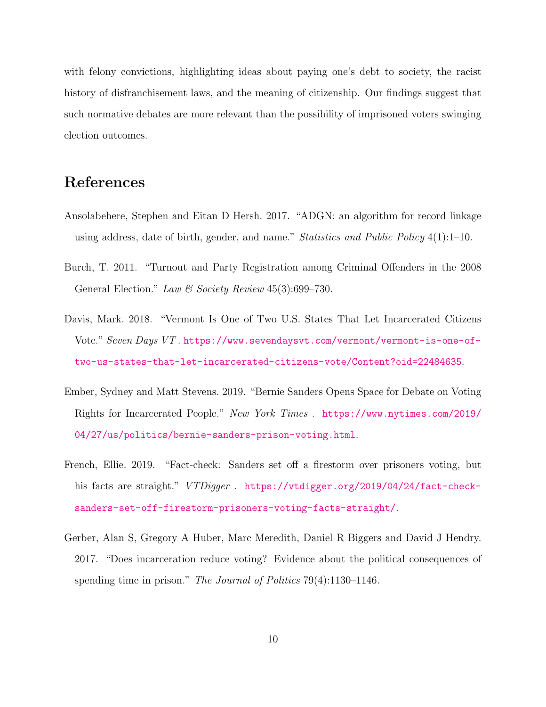with felony convictions, highlighting ideas about paying one's debt to society, the racist history of disfranchisement laws, and the meaning of citizenship. Our findings suggest that such normative debates are more relevant than the possibility of imprisoned voters swinging election outcomes.

## References

- <span id="page-9-4"></span>Ansolabehere, Stephen and Eitan D Hersh. 2017. "ADGN: an algorithm for record linkage using address, date of birth, gender, and name." Statistics and Public Policy  $4(1):1-10$ .
- <span id="page-9-2"></span>Burch, T. 2011. "Turnout and Party Registration among Criminal Offenders in the 2008 General Election." Law & Society Review  $45(3):699-730$ .
- <span id="page-9-3"></span>Davis, Mark. 2018. "Vermont Is One of Two U.S. States That Let Incarcerated Citizens Vote." Seven Days VT. [https://www.sevendaysvt.com/vermont/vermont-is-one-of](https://www.sevendaysvt.com/vermont/vermont-is-one-of-two-us-states-that-let-incarcerated-citizens-vote/Content?oid=22484635)[two-us-states-that-let-incarcerated-citizens-vote/Content?oid=22484635](https://www.sevendaysvt.com/vermont/vermont-is-one-of-two-us-states-that-let-incarcerated-citizens-vote/Content?oid=22484635).
- <span id="page-9-0"></span>Ember, Sydney and Matt Stevens. 2019. "Bernie Sanders Opens Space for Debate on Voting Rights for Incarcerated People." New York Times . [https://www.nytimes.com/2019/](https://www.nytimes.com/2019/04/27/us/politics/bernie-sanders-prison-voting.html) [04/27/us/politics/bernie-sanders-prison-voting.html](https://www.nytimes.com/2019/04/27/us/politics/bernie-sanders-prison-voting.html).
- <span id="page-9-1"></span>French, Ellie. 2019. "Fact-check: Sanders set off a firestorm over prisoners voting, but his facts are straight." VTDigger. [https://vtdigger.org/2019/04/24/fact-check](https://vtdigger.org/2019/04/24/fact-check-sanders-set-off-firestorm-prisoners-voting-facts-straight/)[sanders-set-off-firestorm-prisoners-voting-facts-straight/](https://vtdigger.org/2019/04/24/fact-check-sanders-set-off-firestorm-prisoners-voting-facts-straight/).
- <span id="page-9-5"></span>Gerber, Alan S, Gregory A Huber, Marc Meredith, Daniel R Biggers and David J Hendry. 2017. "Does incarceration reduce voting? Evidence about the political consequences of spending time in prison." The Journal of Politics 79(4):1130–1146.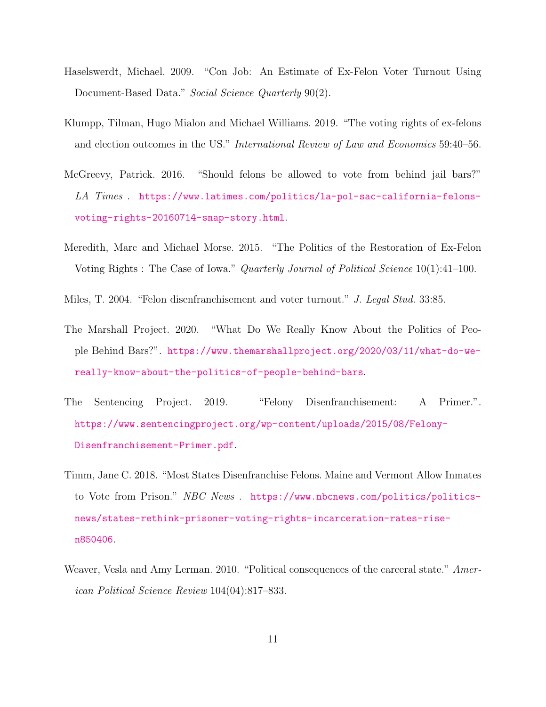- <span id="page-10-5"></span>Haselswerdt, Michael. 2009. "Con Job: An Estimate of Ex-Felon Voter Turnout Using Document-Based Data." Social Science Quarterly 90(2).
- <span id="page-10-8"></span>Klumpp, Tilman, Hugo Mialon and Michael Williams. 2019. "The voting rights of ex-felons and election outcomes in the US." International Review of Law and Economics 59:40–56.
- <span id="page-10-2"></span>McGreevy, Patrick. 2016. "Should felons be allowed to vote from behind jail bars?" LA Times . [https://www.latimes.com/politics/la-pol-sac-california-felons](https://www.latimes.com/politics/la-pol-sac-california-felons-voting-rights-20160714-snap-story.html)[voting-rights-20160714-snap-story.html](https://www.latimes.com/politics/la-pol-sac-california-felons-voting-rights-20160714-snap-story.html).
- <span id="page-10-1"></span>Meredith, Marc and Michael Morse. 2015. "The Politics of the Restoration of Ex-Felon Voting Rights : The Case of Iowa." Quarterly Journal of Political Science 10(1):41–100.
- <span id="page-10-7"></span>Miles, T. 2004. "Felon disenfranchisement and voter turnout." J. Legal Stud. 33:85.
- <span id="page-10-6"></span>The Marshall Project. 2020. "What Do We Really Know About the Politics of People Behind Bars?". [https://www.themarshallproject.org/2020/03/11/what-do-we](https://www.themarshallproject.org/2020/03/11/what-do-we-really-know-about-the-politics-of-people-behind-bars)[really-know-about-the-politics-of-people-behind-bars](https://www.themarshallproject.org/2020/03/11/what-do-we-really-know-about-the-politics-of-people-behind-bars).
- <span id="page-10-3"></span>The Sentencing Project. 2019. "Felony Disenfranchisement: A Primer.". [https://www.sentencingproject.org/wp-content/uploads/2015/08/Felony-](https://www.sentencingproject.org/wp-content/uploads/2015/08/Felony-Disenfranchisement-Primer.pdf)[Disenfranchisement-Primer.pdf](https://www.sentencingproject.org/wp-content/uploads/2015/08/Felony-Disenfranchisement-Primer.pdf).
- <span id="page-10-4"></span>Timm, Jane C. 2018. "Most States Disenfranchise Felons. Maine and Vermont Allow Inmates to Vote from Prison." NBC News . [https://www.nbcnews.com/politics/politics](https://www.nbcnews.com/politics/politics-news/states-rethink-prisoner-voting-rights-incarceration-rates-rise-n850406)[news/states-rethink-prisoner-voting-rights-incarceration-rates-rise](https://www.nbcnews.com/politics/politics-news/states-rethink-prisoner-voting-rights-incarceration-rates-rise-n850406)[n850406](https://www.nbcnews.com/politics/politics-news/states-rethink-prisoner-voting-rights-incarceration-rates-rise-n850406).
- <span id="page-10-0"></span>Weaver, Vesla and Amy Lerman. 2010. "Political consequences of the carceral state." American Political Science Review 104(04):817–833.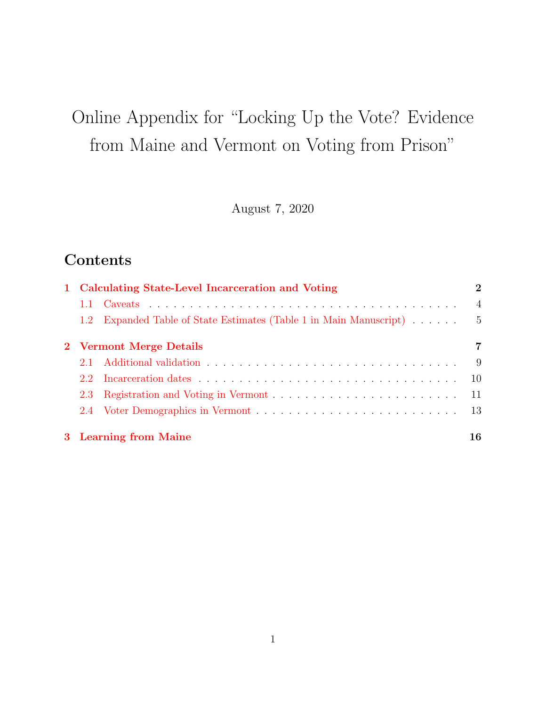# Online Appendix for "Locking Up the Vote? Evidence from Maine and Vermont on Voting from Prison"

August 7, 2020

# Contents

| 1 Calculating State-Level Incarceration and Voting                    | $\bf{2}$       |
|-----------------------------------------------------------------------|----------------|
|                                                                       | $\overline{4}$ |
| Expanded Table of State Estimates (Table 1 in Main Manuscript)<br>1.2 | - 5            |
| 2 Vermont Merge Details                                               | 7              |
| $21-$                                                                 | - 9            |
| $2.2 -$                                                               | 10             |
|                                                                       | -11            |
|                                                                       |                |
| 3 Learning from Maine                                                 | 16             |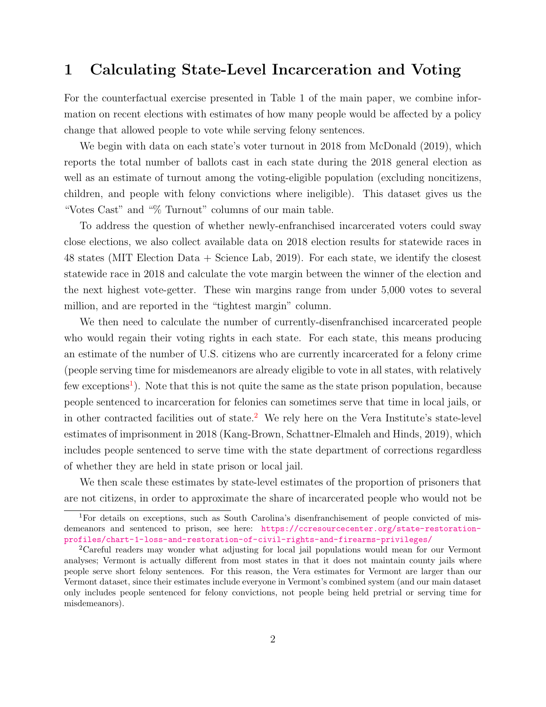## 1 Calculating State-Level Incarceration and Voting

For the counterfactual exercise presented in Table 1 of the main paper, we combine information on recent elections with estimates of how many people would be affected by a policy change that allowed people to vote while serving felony sentences.

We begin with data on each state's voter turnout in 2018 from McDonald (2019), which reports the total number of ballots cast in each state during the 2018 general election as well as an estimate of turnout among the voting-eligible population (excluding noncitizens, children, and people with felony convictions where ineligible). This dataset gives us the "Votes Cast" and "% Turnout" columns of our main table.

To address the question of whether newly-enfranchised incarcerated voters could sway close elections, we also collect available data on 2018 election results for statewide races in 48 states (MIT Election Data + Science Lab, 2019). For each state, we identify the closest statewide race in 2018 and calculate the vote margin between the winner of the election and the next highest vote-getter. These win margins range from under 5,000 votes to several million, and are reported in the "tightest margin" column.

We then need to calculate the number of currently-disenfranchised incarcerated people who would regain their voting rights in each state. For each state, this means producing an estimate of the number of U.S. citizens who are currently incarcerated for a felony crime (people serving time for misdemeanors are already eligible to vote in all states, with relatively few exceptions<sup>1</sup>). Note that this is not quite the same as the state prison population, because people sentenced to incarceration for felonies can sometimes serve that time in local jails, or in other contracted facilities out of state.<sup>2</sup> We rely here on the Vera Institute's state-level estimates of imprisonment in 2018 (Kang-Brown, Schattner-Elmaleh and Hinds, 2019), which includes people sentenced to serve time with the state department of corrections regardless of whether they are held in state prison or local jail.

We then scale these estimates by state-level estimates of the proportion of prisoners that are not citizens, in order to approximate the share of incarcerated people who would not be

<sup>1</sup>For details on exceptions, such as South Carolina's disenfranchisement of people convicted of misdemeanors and sentenced to prison, see here: https://ccresourcecenter.org/state-restorationprofiles/chart-1-loss-and-restoration-of-civil-rights-and-firearms-privileges/

<sup>2</sup>Careful readers may wonder what adjusting for local jail populations would mean for our Vermont analyses; Vermont is actually different from most states in that it does not maintain county jails where people serve short felony sentences. For this reason, the Vera estimates for Vermont are larger than our Vermont dataset, since their estimates include everyone in Vermont's combined system (and our main dataset only includes people sentenced for felony convictions, not people being held pretrial or serving time for misdemeanors).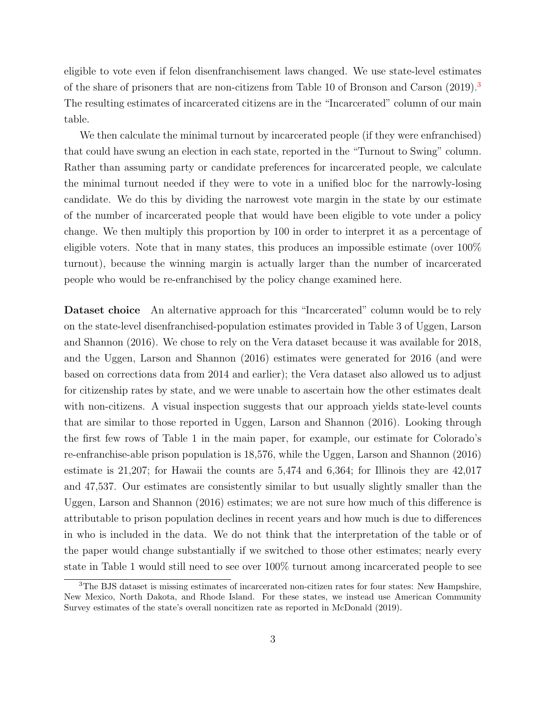eligible to vote even if felon disenfranchisement laws changed. We use state-level estimates of the share of prisoners that are non-citizens from Table 10 of Bronson and Carson (2019).<sup>3</sup> The resulting estimates of incarcerated citizens are in the "Incarcerated" column of our main table.

We then calculate the minimal turnout by incarcerated people (if they were enfranchised) that could have swung an election in each state, reported in the "Turnout to Swing" column. Rather than assuming party or candidate preferences for incarcerated people, we calculate the minimal turnout needed if they were to vote in a unified bloc for the narrowly-losing candidate. We do this by dividing the narrowest vote margin in the state by our estimate of the number of incarcerated people that would have been eligible to vote under a policy change. We then multiply this proportion by 100 in order to interpret it as a percentage of eligible voters. Note that in many states, this produces an impossible estimate (over 100% turnout), because the winning margin is actually larger than the number of incarcerated people who would be re-enfranchised by the policy change examined here.

Dataset choice An alternative approach for this "Incarcerated" column would be to rely on the state-level disenfranchised-population estimates provided in Table 3 of Uggen, Larson and Shannon (2016). We chose to rely on the Vera dataset because it was available for 2018, and the Uggen, Larson and Shannon (2016) estimates were generated for 2016 (and were based on corrections data from 2014 and earlier); the Vera dataset also allowed us to adjust for citizenship rates by state, and we were unable to ascertain how the other estimates dealt with non-citizens. A visual inspection suggests that our approach yields state-level counts that are similar to those reported in Uggen, Larson and Shannon (2016). Looking through the first few rows of Table 1 in the main paper, for example, our estimate for Colorado's re-enfranchise-able prison population is 18,576, while the Uggen, Larson and Shannon (2016) estimate is 21,207; for Hawaii the counts are 5,474 and 6,364; for Illinois they are 42,017 and 47,537. Our estimates are consistently similar to but usually slightly smaller than the Uggen, Larson and Shannon (2016) estimates; we are not sure how much of this difference is attributable to prison population declines in recent years and how much is due to differences in who is included in the data. We do not think that the interpretation of the table or of the paper would change substantially if we switched to those other estimates; nearly every state in Table 1 would still need to see over 100% turnout among incarcerated people to see

<sup>3</sup>The BJS dataset is missing estimates of incarcerated non-citizen rates for four states: New Hampshire, New Mexico, North Dakota, and Rhode Island. For these states, we instead use American Community Survey estimates of the state's overall noncitizen rate as reported in McDonald (2019).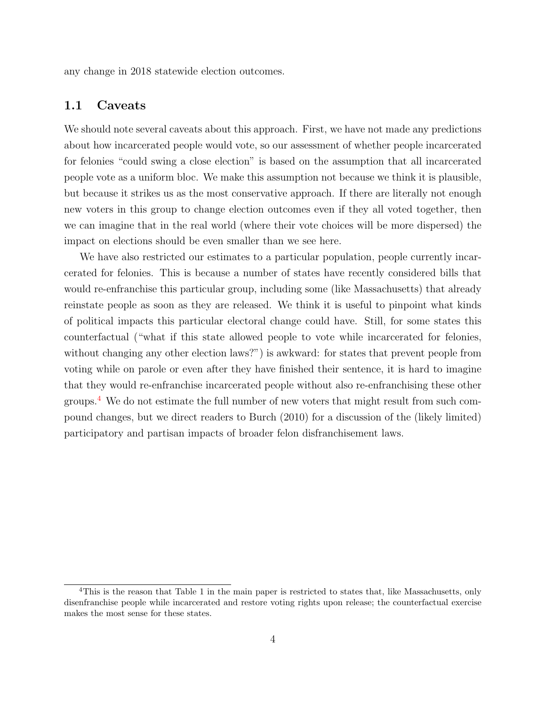any change in 2018 statewide election outcomes.

#### 1.1 Caveats

We should note several caveats about this approach. First, we have not made any predictions about how incarcerated people would vote, so our assessment of whether people incarcerated for felonies "could swing a close election" is based on the assumption that all incarcerated people vote as a uniform bloc. We make this assumption not because we think it is plausible, but because it strikes us as the most conservative approach. If there are literally not enough new voters in this group to change election outcomes even if they all voted together, then we can imagine that in the real world (where their vote choices will be more dispersed) the impact on elections should be even smaller than we see here.

We have also restricted our estimates to a particular population, people currently incarcerated for felonies. This is because a number of states have recently considered bills that would re-enfranchise this particular group, including some (like Massachusetts) that already reinstate people as soon as they are released. We think it is useful to pinpoint what kinds of political impacts this particular electoral change could have. Still, for some states this counterfactual ("what if this state allowed people to vote while incarcerated for felonies, without changing any other election laws?") is awkward: for states that prevent people from voting while on parole or even after they have finished their sentence, it is hard to imagine that they would re-enfranchise incarcerated people without also re-enfranchising these other groups.<sup>4</sup> We do not estimate the full number of new voters that might result from such compound changes, but we direct readers to Burch (2010) for a discussion of the (likely limited) participatory and partisan impacts of broader felon disfranchisement laws.

<sup>&</sup>lt;sup>4</sup>This is the reason that Table 1 in the main paper is restricted to states that, like Massachusetts, only disenfranchise people while incarcerated and restore voting rights upon release; the counterfactual exercise makes the most sense for these states.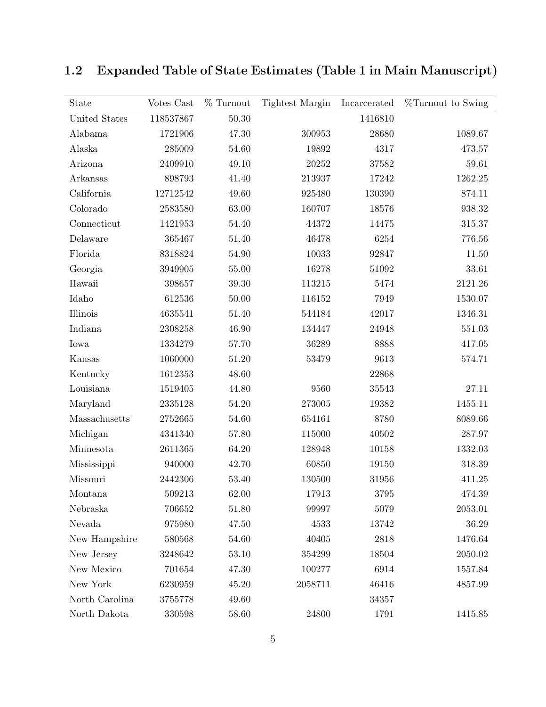| State          | Votes Cast | $%$ Turnout | Tightest Margin | Incarcerated | %Turnout to Swing |
|----------------|------------|-------------|-----------------|--------------|-------------------|
| United States  | 118537867  | $50.30\,$   |                 | 1416810      |                   |
| Alabama        | 1721906    | 47.30       | 300953          | 28680        | 1089.67           |
| Alaska         | 285009     | 54.60       | 19892           | 4317         | 473.57            |
| Arizona        | 2409910    | 49.10       | 20252           | 37582        | 59.61             |
| Arkansas       | 898793     | 41.40       | 213937          | 17242        | 1262.25           |
| California     | 12712542   | 49.60       | 925480          | 130390       | 874.11            |
| Colorado       | 2583580    | 63.00       | 160707          | 18576        | 938.32            |
| Connecticut    | 1421953    | 54.40       | 44372           | 14475        | 315.37            |
| Delaware       | 365467     | 51.40       | 46478           | 6254         | 776.56            |
| Florida        | 8318824    | 54.90       | 10033           | 92847        | $11.50\,$         |
| Georgia        | 3949905    | 55.00       | 16278           | 51092        | 33.61             |
| Hawaii         | 398657     | 39.30       | 113215          | 5474         | 2121.26           |
| Idaho          | 612536     | 50.00       | 116152          | 7949         | 1530.07           |
| Illinois       | 4635541    | 51.40       | 544184          | 42017        | 1346.31           |
| Indiana        | 2308258    | 46.90       | 134447          | 24948        | 551.03            |
| Iowa           | 1334279    | 57.70       | 36289           | 8888         | 417.05            |
| Kansas         | 1060000    | 51.20       | 53479           | 9613         | 574.71            |
| Kentucky       | 1612353    | 48.60       |                 | 22868        |                   |
| Louisiana      | 1519405    | 44.80       | 9560            | 35543        | 27.11             |
| Maryland       | 2335128    | 54.20       | 273005          | 19382        | 1455.11           |
| Massachusetts  | 2752665    | 54.60       | 654161          | 8780         | 8089.66           |
| Michigan       | 4341340    | 57.80       | 115000          | 40502        | 287.97            |
| Minnesota      | 2611365    | 64.20       | 128948          | 10158        | 1332.03           |
| Mississippi    | 940000     | 42.70       | 60850           | 19150        | 318.39            |
| Missouri       | 2442306    | 53.40       | 130500          | 31956        | 411.25            |
| Montana        | 509213     | 62.00       | 17913           | 3795         | 474.39            |
| Nebraska       | 706652     | 51.80       | 99997           | 5079         | 2053.01           |
| Nevada         | 975980     | 47.50       | 4533            | 13742        | 36.29             |
| New Hampshire  | 580568     | 54.60       | 40405           | 2818         | 1476.64           |
| New Jersey     | 3248642    | 53.10       | 354299          | 18504        | 2050.02           |
| New Mexico     | 701654     | 47.30       | 100277          | 6914         | 1557.84           |
| New York       | 6230959    | 45.20       | 2058711         | 46416        | 4857.99           |
| North Carolina | 3755778    | 49.60       |                 | 34357        |                   |
| North Dakota   | 330598     | 58.60       | 24800           | 1791         | 1415.85           |

1.2 Expanded Table of State Estimates (Table 1 in Main Manuscript)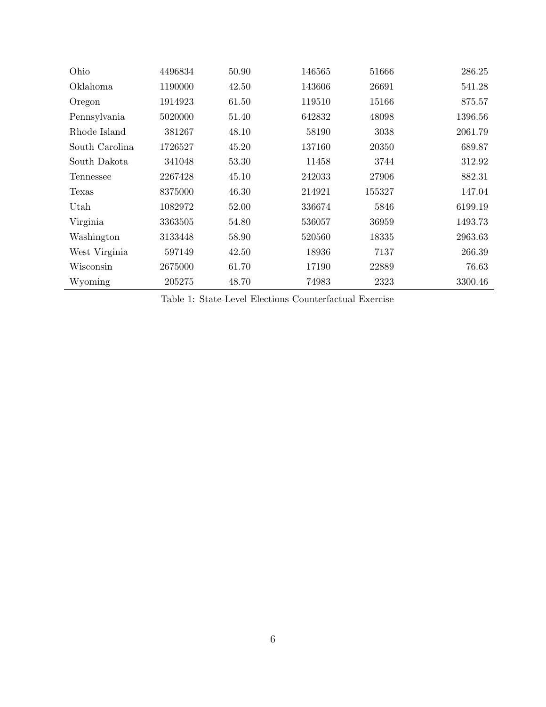| Ohio           | 4496834 | 50.90 | 146565 | 51666  | 286.25  |
|----------------|---------|-------|--------|--------|---------|
| Oklahoma       | 1190000 | 42.50 | 143606 | 26691  | 541.28  |
| Oregon         | 1914923 | 61.50 | 119510 | 15166  | 875.57  |
| Pennsylvania   | 5020000 | 51.40 | 642832 | 48098  | 1396.56 |
| Rhode Island   | 381267  | 48.10 | 58190  | 3038   | 2061.79 |
| South Carolina | 1726527 | 45.20 | 137160 | 20350  | 689.87  |
| South Dakota   | 341048  | 53.30 | 11458  | 3744   | 312.92  |
| Tennessee      | 2267428 | 45.10 | 242033 | 27906  | 882.31  |
| Texas          | 8375000 | 46.30 | 214921 | 155327 | 147.04  |
| Utah           | 1082972 | 52.00 | 336674 | 5846   | 6199.19 |
| Virginia       | 3363505 | 54.80 | 536057 | 36959  | 1493.73 |
| Washington     | 3133448 | 58.90 | 520560 | 18335  | 2963.63 |
| West Virginia  | 597149  | 42.50 | 18936  | 7137   | 266.39  |
| Wisconsin      | 2675000 | 61.70 | 17190  | 22889  | 76.63   |
| Wyoming        | 205275  | 48.70 | 74983  | 2323   | 3300.46 |

Table 1: State-Level Elections Counterfactual Exercise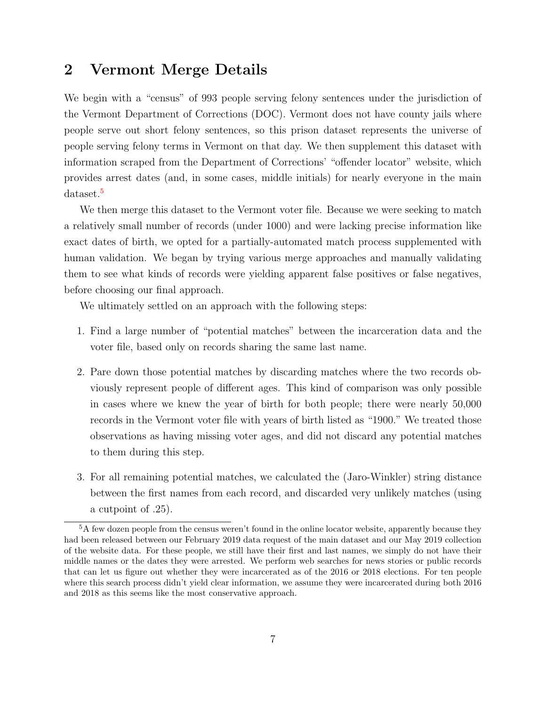## 2 Vermont Merge Details

We begin with a "census" of 993 people serving felony sentences under the jurisdiction of the Vermont Department of Corrections (DOC). Vermont does not have county jails where people serve out short felony sentences, so this prison dataset represents the universe of people serving felony terms in Vermont on that day. We then supplement this dataset with information scraped from the Department of Corrections' "offender locator" website, which provides arrest dates (and, in some cases, middle initials) for nearly everyone in the main dataset.<sup>5</sup>

We then merge this dataset to the Vermont voter file. Because we were seeking to match a relatively small number of records (under 1000) and were lacking precise information like exact dates of birth, we opted for a partially-automated match process supplemented with human validation. We began by trying various merge approaches and manually validating them to see what kinds of records were yielding apparent false positives or false negatives, before choosing our final approach.

We ultimately settled on an approach with the following steps:

- 1. Find a large number of "potential matches" between the incarceration data and the voter file, based only on records sharing the same last name.
- 2. Pare down those potential matches by discarding matches where the two records obviously represent people of different ages. This kind of comparison was only possible in cases where we knew the year of birth for both people; there were nearly 50,000 records in the Vermont voter file with years of birth listed as "1900." We treated those observations as having missing voter ages, and did not discard any potential matches to them during this step.
- 3. For all remaining potential matches, we calculated the (Jaro-Winkler) string distance between the first names from each record, and discarded very unlikely matches (using a cutpoint of .25).

<sup>5</sup>A few dozen people from the census weren't found in the online locator website, apparently because they had been released between our February 2019 data request of the main dataset and our May 2019 collection of the website data. For these people, we still have their first and last names, we simply do not have their middle names or the dates they were arrested. We perform web searches for news stories or public records that can let us figure out whether they were incarcerated as of the 2016 or 2018 elections. For ten people where this search process didn't yield clear information, we assume they were incarcerated during both 2016 and 2018 as this seems like the most conservative approach.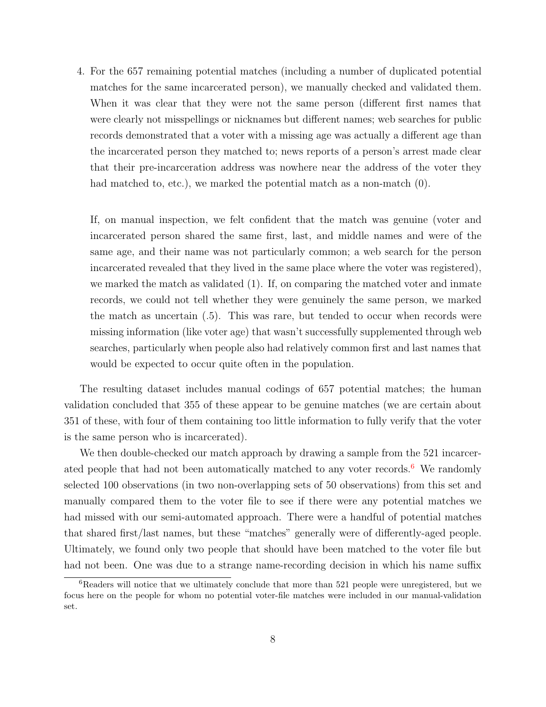4. For the 657 remaining potential matches (including a number of duplicated potential matches for the same incarcerated person), we manually checked and validated them. When it was clear that they were not the same person (different first names that were clearly not misspellings or nicknames but different names; web searches for public records demonstrated that a voter with a missing age was actually a different age than the incarcerated person they matched to; news reports of a person's arrest made clear that their pre-incarceration address was nowhere near the address of the voter they had matched to, etc.), we marked the potential match as a non-match  $(0)$ .

If, on manual inspection, we felt confident that the match was genuine (voter and incarcerated person shared the same first, last, and middle names and were of the same age, and their name was not particularly common; a web search for the person incarcerated revealed that they lived in the same place where the voter was registered), we marked the match as validated (1). If, on comparing the matched voter and inmate records, we could not tell whether they were genuinely the same person, we marked the match as uncertain (.5). This was rare, but tended to occur when records were missing information (like voter age) that wasn't successfully supplemented through web searches, particularly when people also had relatively common first and last names that would be expected to occur quite often in the population.

The resulting dataset includes manual codings of 657 potential matches; the human validation concluded that 355 of these appear to be genuine matches (we are certain about 351 of these, with four of them containing too little information to fully verify that the voter is the same person who is incarcerated).

We then double-checked our match approach by drawing a sample from the 521 incarcerated people that had not been automatically matched to any voter records.<sup>6</sup> We randomly selected 100 observations (in two non-overlapping sets of 50 observations) from this set and manually compared them to the voter file to see if there were any potential matches we had missed with our semi-automated approach. There were a handful of potential matches that shared first/last names, but these "matches" generally were of differently-aged people. Ultimately, we found only two people that should have been matched to the voter file but had not been. One was due to a strange name-recording decision in which his name suffix

<sup>&</sup>lt;sup>6</sup>Readers will notice that we ultimately conclude that more than 521 people were unregistered, but we focus here on the people for whom no potential voter-file matches were included in our manual-validation set.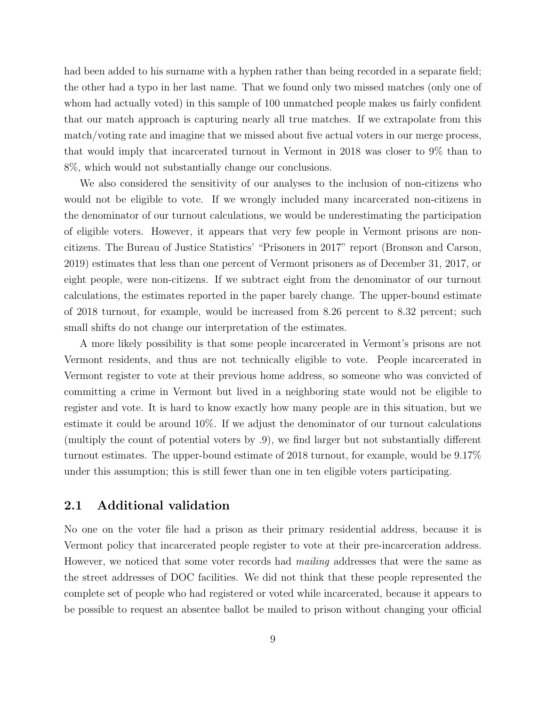had been added to his surname with a hyphen rather than being recorded in a separate field; the other had a typo in her last name. That we found only two missed matches (only one of whom had actually voted) in this sample of 100 unmatched people makes us fairly confident that our match approach is capturing nearly all true matches. If we extrapolate from this match/voting rate and imagine that we missed about five actual voters in our merge process, that would imply that incarcerated turnout in Vermont in 2018 was closer to 9% than to 8%, which would not substantially change our conclusions.

We also considered the sensitivity of our analyses to the inclusion of non-citizens who would not be eligible to vote. If we wrongly included many incarcerated non-citizens in the denominator of our turnout calculations, we would be underestimating the participation of eligible voters. However, it appears that very few people in Vermont prisons are noncitizens. The Bureau of Justice Statistics' "Prisoners in 2017" report (Bronson and Carson, 2019) estimates that less than one percent of Vermont prisoners as of December 31, 2017, or eight people, were non-citizens. If we subtract eight from the denominator of our turnout calculations, the estimates reported in the paper barely change. The upper-bound estimate of 2018 turnout, for example, would be increased from 8.26 percent to 8.32 percent; such small shifts do not change our interpretation of the estimates.

A more likely possibility is that some people incarcerated in Vermont's prisons are not Vermont residents, and thus are not technically eligible to vote. People incarcerated in Vermont register to vote at their previous home address, so someone who was convicted of committing a crime in Vermont but lived in a neighboring state would not be eligible to register and vote. It is hard to know exactly how many people are in this situation, but we estimate it could be around 10%. If we adjust the denominator of our turnout calculations (multiply the count of potential voters by .9), we find larger but not substantially different turnout estimates. The upper-bound estimate of 2018 turnout, for example, would be 9.17% under this assumption; this is still fewer than one in ten eligible voters participating.

#### 2.1 Additional validation

No one on the voter file had a prison as their primary residential address, because it is Vermont policy that incarcerated people register to vote at their pre-incarceration address. However, we noticed that some voter records had *mailing* addresses that were the same as the street addresses of DOC facilities. We did not think that these people represented the complete set of people who had registered or voted while incarcerated, because it appears to be possible to request an absentee ballot be mailed to prison without changing your official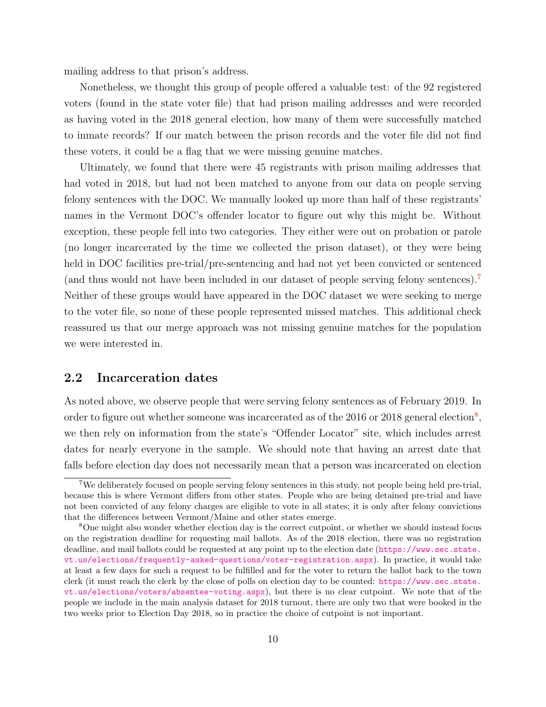mailing address to that prison's address.

Nonetheless, we thought this group of people offered a valuable test: of the 92 registered voters (found in the state voter file) that had prison mailing addresses and were recorded as having voted in the 2018 general election, how many of them were successfully matched to inmate records? If our match between the prison records and the voter file did not find these voters, it could be a flag that we were missing genuine matches.

Ultimately, we found that there were 45 registrants with prison mailing addresses that had voted in 2018, but had not been matched to anyone from our data on people serving felony sentences with the DOC. We manually looked up more than half of these registrants' names in the Vermont DOC's offender locator to figure out why this might be. Without exception, these people fell into two categories. They either were out on probation or parole (no longer incarcerated by the time we collected the prison dataset), or they were being held in DOC facilities pre-trial/pre-sentencing and had not yet been convicted or sentenced (and thus would not have been included in our dataset of people serving felony sentences).<sup>7</sup> Neither of these groups would have appeared in the DOC dataset we were seeking to merge to the voter file, so none of these people represented missed matches. This additional check reassured us that our merge approach was not missing genuine matches for the population we were interested in.

#### 2.2 Incarceration dates

As noted above, we observe people that were serving felony sentences as of February 2019. In order to figure out whether someone was incarcerated as of the  $2016$  or  $2018$  general election<sup>8</sup>, we then rely on information from the state's "Offender Locator" site, which includes arrest dates for nearly everyone in the sample. We should note that having an arrest date that falls before election day does not necessarily mean that a person was incarcerated on election

<sup>7</sup>We deliberately focused on people serving felony sentences in this study, not people being held pre-trial, because this is where Vermont differs from other states. People who are being detained pre-trial and have not been convicted of any felony charges are eligible to vote in all states; it is only after felony convictions that the differences between Vermont/Maine and other states emerge.

<sup>8</sup>One might also wonder whether election day is the correct cutpoint, or whether we should instead focus on the registration deadline for requesting mail ballots. As of the 2018 election, there was no registration deadline, and mail ballots could be requested at any point up to the election date (https://www.sec.state. vt.us/elections/frequently-asked-questions/voter-registration.aspx). In practice, it would take at least a few days for such a request to be fulfilled and for the voter to return the ballot back to the town clerk (it must reach the clerk by the close of polls on election day to be counted: https://www.sec.state. vt.us/elections/voters/absentee-voting.aspx), but there is no clear cutpoint. We note that of the people we include in the main analysis dataset for 2018 turnout, there are only two that were booked in the two weeks prior to Election Day 2018, so in practice the choice of cutpoint is not important.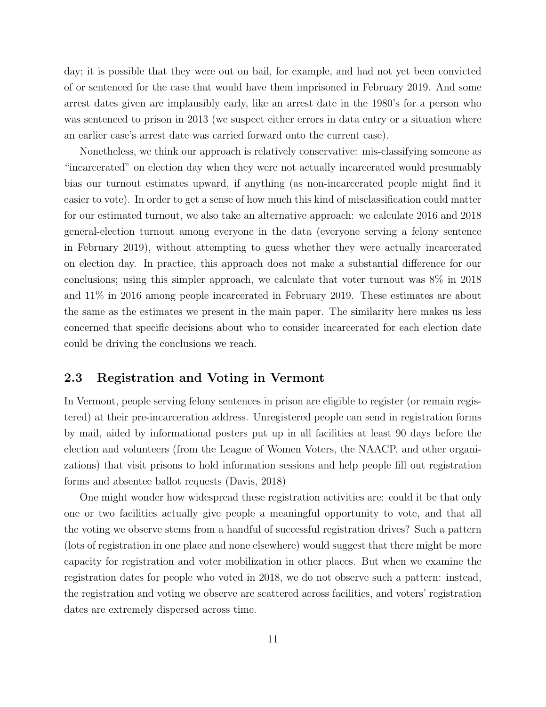day; it is possible that they were out on bail, for example, and had not yet been convicted of or sentenced for the case that would have them imprisoned in February 2019. And some arrest dates given are implausibly early, like an arrest date in the 1980's for a person who was sentenced to prison in 2013 (we suspect either errors in data entry or a situation where an earlier case's arrest date was carried forward onto the current case).

Nonetheless, we think our approach is relatively conservative: mis-classifying someone as "incarcerated" on election day when they were not actually incarcerated would presumably bias our turnout estimates upward, if anything (as non-incarcerated people might find it easier to vote). In order to get a sense of how much this kind of misclassification could matter for our estimated turnout, we also take an alternative approach: we calculate 2016 and 2018 general-election turnout among everyone in the data (everyone serving a felony sentence in February 2019), without attempting to guess whether they were actually incarcerated on election day. In practice, this approach does not make a substantial difference for our conclusions; using this simpler approach, we calculate that voter turnout was 8% in 2018 and 11% in 2016 among people incarcerated in February 2019. These estimates are about the same as the estimates we present in the main paper. The similarity here makes us less concerned that specific decisions about who to consider incarcerated for each election date could be driving the conclusions we reach.

#### 2.3 Registration and Voting in Vermont

In Vermont, people serving felony sentences in prison are eligible to register (or remain registered) at their pre-incarceration address. Unregistered people can send in registration forms by mail, aided by informational posters put up in all facilities at least 90 days before the election and volunteers (from the League of Women Voters, the NAACP, and other organizations) that visit prisons to hold information sessions and help people fill out registration forms and absentee ballot requests (Davis, 2018)

One might wonder how widespread these registration activities are: could it be that only one or two facilities actually give people a meaningful opportunity to vote, and that all the voting we observe stems from a handful of successful registration drives? Such a pattern (lots of registration in one place and none elsewhere) would suggest that there might be more capacity for registration and voter mobilization in other places. But when we examine the registration dates for people who voted in 2018, we do not observe such a pattern: instead, the registration and voting we observe are scattered across facilities, and voters' registration dates are extremely dispersed across time.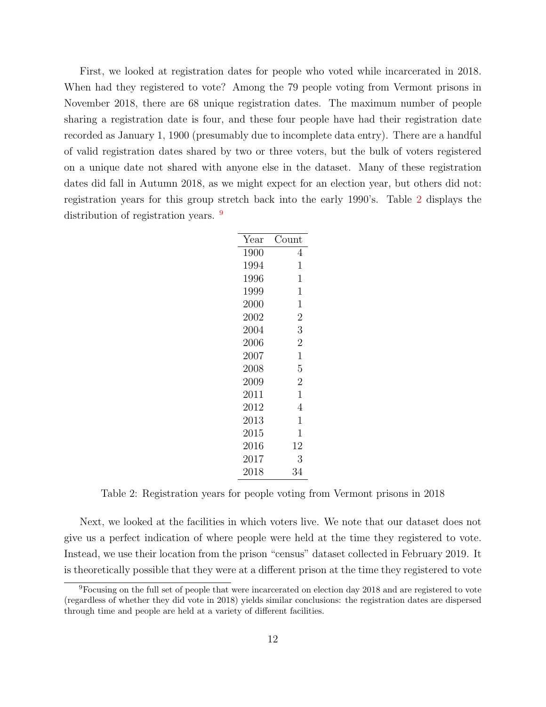First, we looked at registration dates for people who voted while incarcerated in 2018. When had they registered to vote? Among the 79 people voting from Vermont prisons in November 2018, there are 68 unique registration dates. The maximum number of people sharing a registration date is four, and these four people have had their registration date recorded as January 1, 1900 (presumably due to incomplete data entry). There are a handful of valid registration dates shared by two or three voters, but the bulk of voters registered on a unique date not shared with anyone else in the dataset. Many of these registration dates did fall in Autumn 2018, as we might expect for an election year, but others did not: registration years for this group stretch back into the early 1990's. Table 2 displays the distribution of registration years. <sup>9</sup>

| Year | 'ount          |
|------|----------------|
| 1900 | 4              |
| 1994 | 1              |
| 1996 | $\overline{1}$ |
| 1999 | $\overline{1}$ |
| 2000 | $\overline{1}$ |
| 2002 | $\overline{2}$ |
| 2004 | 3              |
| 2006 | $\overline{2}$ |
| 2007 | $\overline{1}$ |
| 2008 | 5              |
| 2009 | $\overline{2}$ |
| 2011 | $\overline{1}$ |
| 2012 | 4              |
| 2013 | 1              |
| 2015 | 1              |
| 2016 | 12             |
| 2017 | 3              |
| 2018 | 34             |

Table 2: Registration years for people voting from Vermont prisons in 2018

Next, we looked at the facilities in which voters live. We note that our dataset does not give us a perfect indication of where people were held at the time they registered to vote. Instead, we use their location from the prison "census" dataset collected in February 2019. It is theoretically possible that they were at a different prison at the time they registered to vote

<sup>9</sup>Focusing on the full set of people that were incarcerated on election day 2018 and are registered to vote (regardless of whether they did vote in 2018) yields similar conclusions: the registration dates are dispersed through time and people are held at a variety of different facilities.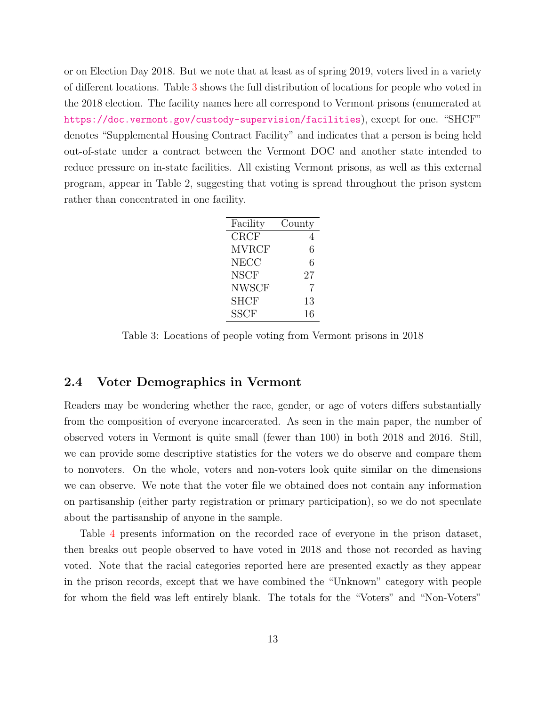or on Election Day 2018. But we note that at least as of spring 2019, voters lived in a variety of different locations. Table 3 shows the full distribution of locations for people who voted in the 2018 election. The facility names here all correspond to Vermont prisons (enumerated at https://doc.vermont.gov/custody-supervision/facilities), except for one. "SHCF" denotes "Supplemental Housing Contract Facility" and indicates that a person is being held out-of-state under a contract between the Vermont DOC and another state intended to reduce pressure on in-state facilities. All existing Vermont prisons, as well as this external program, appear in Table 2, suggesting that voting is spread throughout the prison system rather than concentrated in one facility.

| Facility     | County |
|--------------|--------|
| ${\rm CRCF}$ | 4      |
| <b>MVRCF</b> | 6      |
| <b>NECC</b>  | 6      |
| <b>NSCF</b>  | 27     |
| <b>NWSCF</b> | 7      |
| <b>SHCF</b>  | 13     |
| <b>SSCF</b>  | 16     |

Table 3: Locations of people voting from Vermont prisons in 2018

#### 2.4 Voter Demographics in Vermont

Readers may be wondering whether the race, gender, or age of voters differs substantially from the composition of everyone incarcerated. As seen in the main paper, the number of observed voters in Vermont is quite small (fewer than 100) in both 2018 and 2016. Still, we can provide some descriptive statistics for the voters we do observe and compare them to nonvoters. On the whole, voters and non-voters look quite similar on the dimensions we can observe. We note that the voter file we obtained does not contain any information on partisanship (either party registration or primary participation), so we do not speculate about the partisanship of anyone in the sample.

Table 4 presents information on the recorded race of everyone in the prison dataset, then breaks out people observed to have voted in 2018 and those not recorded as having voted. Note that the racial categories reported here are presented exactly as they appear in the prison records, except that we have combined the "Unknown" category with people for whom the field was left entirely blank. The totals for the "Voters" and "Non-Voters"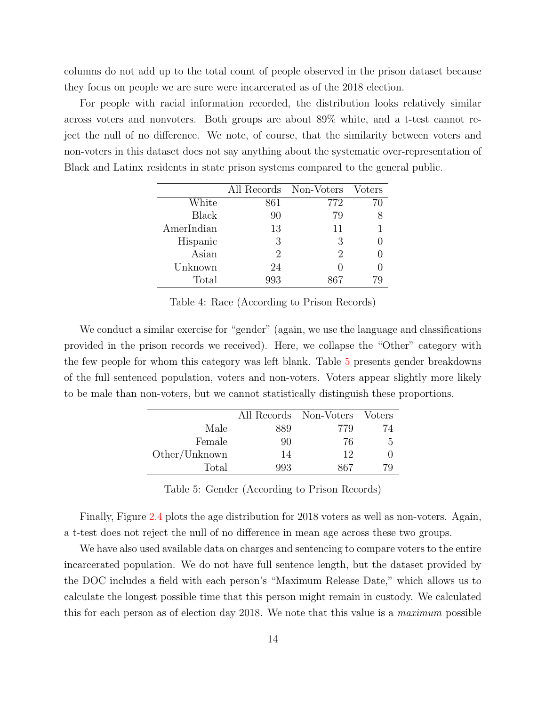columns do not add up to the total count of people observed in the prison dataset because they focus on people we are sure were incarcerated as of the 2018 election.

For people with racial information recorded, the distribution looks relatively similar across voters and nonvoters. Both groups are about 89% white, and a t-test cannot reject the null of no difference. We note, of course, that the similarity between voters and non-voters in this dataset does not say anything about the systematic over-representation of Black and Latinx residents in state prison systems compared to the general public.

|              | All Records Non-Voters |     | Voters |
|--------------|------------------------|-----|--------|
| White        | 861                    | 772 | 70     |
| <b>Black</b> | 90                     | 79  |        |
| AmerIndian   | 13                     | 11  |        |
| Hispanic     | 3                      | 3   |        |
| Asian        | 2                      | 2   |        |
| Unknown      | 24                     |     |        |
| Total        | 993                    | 867 |        |

Table 4: Race (According to Prison Records)

We conduct a similar exercise for "gender" (again, we use the language and classifications provided in the prison records we received). Here, we collapse the "Other" category with the few people for whom this category was left blank. Table 5 presents gender breakdowns of the full sentenced population, voters and non-voters. Voters appear slightly more likely to be male than non-voters, but we cannot statistically distinguish these proportions.

|               | All Records Non-Voters |     | <i>Voters</i> |
|---------------|------------------------|-----|---------------|
| Male          | 889                    | 779 | 74            |
| Female        | 90                     | 76  | h             |
| Other/Unknown | 14                     | 12  |               |
| Total         | 993                    | 867 | 79            |

Table 5: Gender (According to Prison Records)

Finally, Figure 2.4 plots the age distribution for 2018 voters as well as non-voters. Again, a t-test does not reject the null of no difference in mean age across these two groups.

We have also used available data on charges and sentencing to compare voters to the entire incarcerated population. We do not have full sentence length, but the dataset provided by the DOC includes a field with each person's "Maximum Release Date," which allows us to calculate the longest possible time that this person might remain in custody. We calculated this for each person as of election day 2018. We note that this value is a maximum possible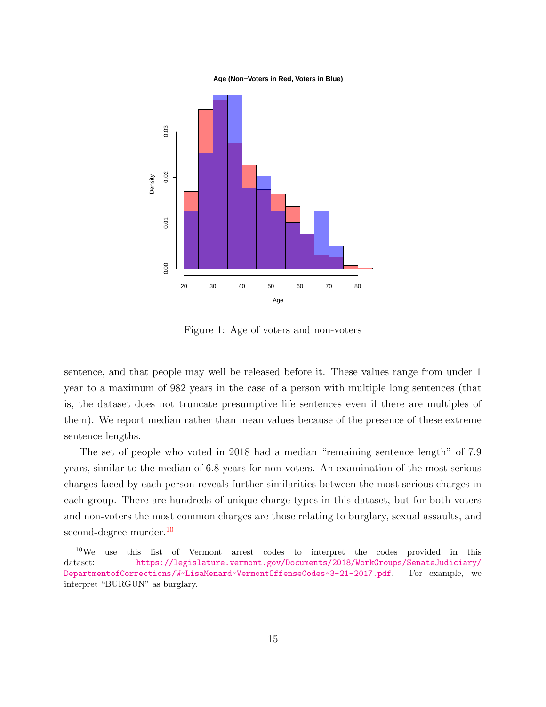#### **Age (Non−Voters in Red, Voters in Blue)**



Figure 1: Age of voters and non-voters

sentence, and that people may well be released before it. These values range from under 1 year to a maximum of 982 years in the case of a person with multiple long sentences (that is, the dataset does not truncate presumptive life sentences even if there are multiples of them). We report median rather than mean values because of the presence of these extreme sentence lengths.

The set of people who voted in 2018 had a median "remaining sentence length" of 7.9 years, similar to the median of 6.8 years for non-voters. An examination of the most serious charges faced by each person reveals further similarities between the most serious charges in each group. There are hundreds of unique charge types in this dataset, but for both voters and non-voters the most common charges are those relating to burglary, sexual assaults, and second-degree murder.<sup>10</sup>

 $10$ We use this list of Vermont arrest codes to interpret the codes provided in this dataset: https://legislature.vermont.gov/Documents/2018/WorkGroups/SenateJudiciary/ DepartmentofCorrections/W~LisaMenard~VermontOffenseCodes~3-21-2017.pdf. For example, we interpret "BURGUN" as burglary.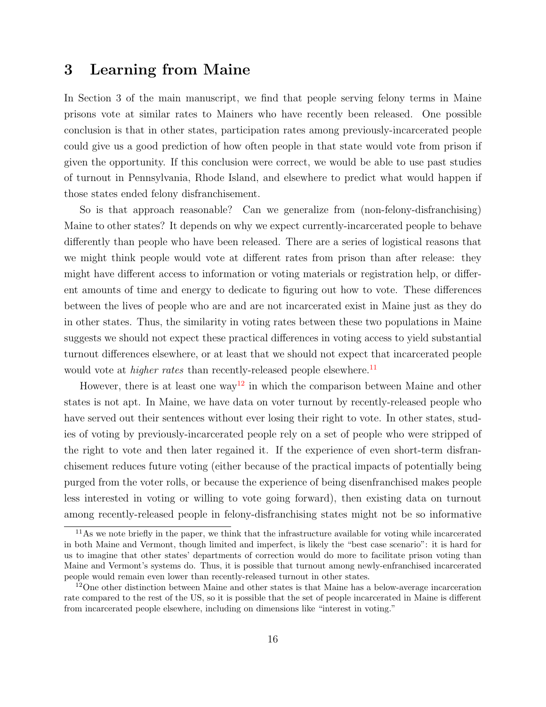## 3 Learning from Maine

In Section 3 of the main manuscript, we find that people serving felony terms in Maine prisons vote at similar rates to Mainers who have recently been released. One possible conclusion is that in other states, participation rates among previously-incarcerated people could give us a good prediction of how often people in that state would vote from prison if given the opportunity. If this conclusion were correct, we would be able to use past studies of turnout in Pennsylvania, Rhode Island, and elsewhere to predict what would happen if those states ended felony disfranchisement.

So is that approach reasonable? Can we generalize from (non-felony-disfranchising) Maine to other states? It depends on why we expect currently-incarcerated people to behave differently than people who have been released. There are a series of logistical reasons that we might think people would vote at different rates from prison than after release: they might have different access to information or voting materials or registration help, or different amounts of time and energy to dedicate to figuring out how to vote. These differences between the lives of people who are and are not incarcerated exist in Maine just as they do in other states. Thus, the similarity in voting rates between these two populations in Maine suggests we should not expect these practical differences in voting access to yield substantial turnout differences elsewhere, or at least that we should not expect that incarcerated people would vote at *higher rates* than recently-released people elsewhere.<sup>11</sup>

However, there is at least one way<sup>12</sup> in which the comparison between Maine and other states is not apt. In Maine, we have data on voter turnout by recently-released people who have served out their sentences without ever losing their right to vote. In other states, studies of voting by previously-incarcerated people rely on a set of people who were stripped of the right to vote and then later regained it. If the experience of even short-term disfranchisement reduces future voting (either because of the practical impacts of potentially being purged from the voter rolls, or because the experience of being disenfranchised makes people less interested in voting or willing to vote going forward), then existing data on turnout among recently-released people in felony-disfranchising states might not be so informative

 $11\text{As}$  we note briefly in the paper, we think that the infrastructure available for voting while incarcerated in both Maine and Vermont, though limited and imperfect, is likely the "best case scenario": it is hard for us to imagine that other states' departments of correction would do more to facilitate prison voting than Maine and Vermont's systems do. Thus, it is possible that turnout among newly-enfranchised incarcerated people would remain even lower than recently-released turnout in other states.

<sup>&</sup>lt;sup>12</sup>One other distinction between Maine and other states is that Maine has a below-average incarceration rate compared to the rest of the US, so it is possible that the set of people incarcerated in Maine is different from incarcerated people elsewhere, including on dimensions like "interest in voting."